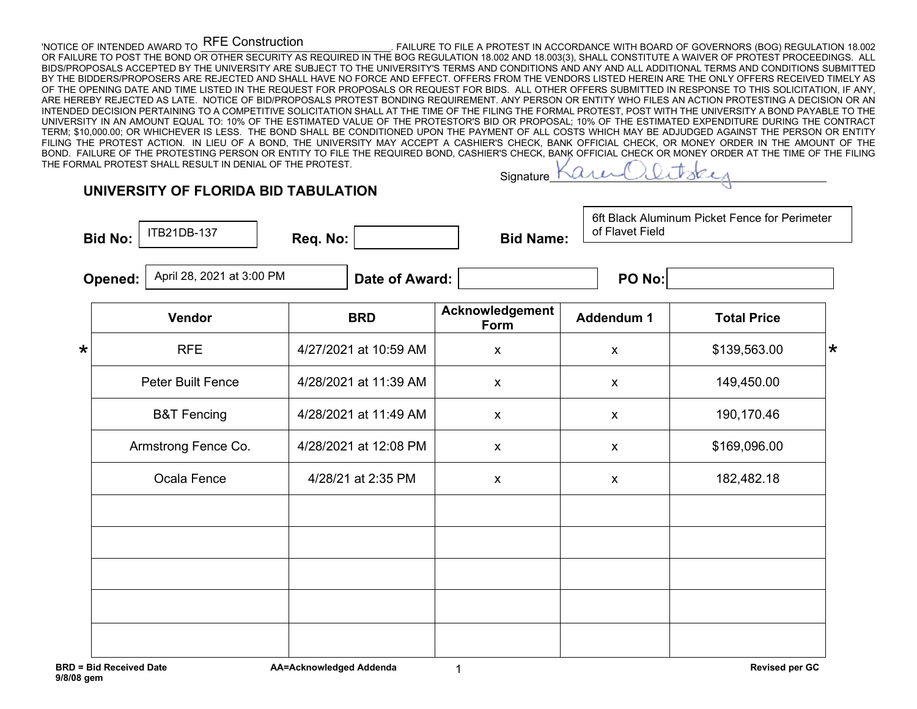## RFE Construction

'NOTICE OF INTENDED AWARD TO LALL CUILSULUCIUM AND THE ALL FRAILURE TO FILE A PROTEST IN ACCORDANCE WITH BOARD OF GOVERNORS (BOG) REGULATION 18.002 OR FAILURE TO POST THE BOND OR OTHER SECURITY AS REQUIRED IN THE BOG REGULATION 18.002 AND 18.003(3), SHALL CONSTITUTE A WAIVER OF PROTEST PROCEEDINGS. ALL BIDS/PROPOSALS ACCEPTED BY THE UNIVERSITY ARE SUBJECT TO THE UNIVERSITY'S TERMS AND CONDITIONS AND ANY AND ALL ADDITIONAL TERMS AND CONDITIONS SUBMITTED BY THE BIDDERS/PROPOSERS ARE REJECTED AND SHALL HAVE NO FORCE AND EFFECT. OFFERS FROM THE VENDORS LISTED HEREIN ARE THE ONLY OFFERS RECEIVED TIMELY AS OF THE OPENING DATE AND TIME LISTED IN THE REQUEST FOR PROPOSALS OR REQUEST FOR BIDS. ALL OTHER OFFERS SUBMITTED IN RESPONSE TO THIS SOLICITATION, IF ANY, ARE HEREBY REJECTED AS LATE. NOTICE OF BID/PROPOSALS PROTEST BONDING REQUIREMENT. ANY PERSON OR ENTITY WHO FILES AN ACTION PROTESTING A DECISION OR AN INTENDED DECISION PERTAINING TO A COMPETITIVE SOLICITATION SHALL AT THE TIME OF THE FILING THE FORMAL PROTEST, POST WITH THE UNIVERSITY A BOND PAYABLE TO THE UNIVERSITY IN AN AMOUNT EQUAL TO: 10% OF THE ESTIMATED VALUE OF THE PROTESTOR'S BID OR PROPOSAL; 10% OF THE ESTIMATED EXPENDITURE DURING THE CONTRACT TERM; \$10,000.00; OR WHICHEVER IS LESS. THE BOND SHALL BE CONDITIONED UPON THE PAYMENT OF ALL COSTS WHICH MAY BE ADJUDGED AGAINST THE PERSON OR ENTITY FILING THE PROTEST ACTION. IN LIEU OF A BOND, THE UNIVERSITY MAY ACCEPT A CASHIER'S CHECK, BANK OFFICIAL CHECK, OR MONEY ORDER IN THE AMOUNT OF THE BOND. FAILURE OF THE PROTESTING PERSON OR ENTITY TO FILE THE REQUIRED BOND, CASHIER'S CHECK, BANK OFFICIAL CHECK OR MONEY ORDER AT THE TIME OF THE FILING THE FORMAL PROTEST SHALL RESULT IN DENIAL OF THE PROTEST.

## **UNIVERSITY OF FLORIDA BID TABULATION**

**Bid No:**  $\begin{vmatrix} 11B21DB-13I \\ I \end{vmatrix}$  **Req. No:**  $\begin{vmatrix} 1 & 1 \ 1 & 1 \end{vmatrix}$  **<b>Bid Name:** ITB21DB-137

**Signature** 

6ft Black Aluminum Picket Fence for Perimeter of Flavet Field

**Opened:**  $\begin{array}{|c|c|c|c|}\n\hline\n\text{Apiril 28, 2021 at 3:00 PM} & \text{Date of Award:} \end{array}$ 

|         | Vendor                 | <b>BRD</b>            | Acknowledgement<br>Form | <b>Addendum 1</b>  | <b>Total Price</b> |         |
|---------|------------------------|-----------------------|-------------------------|--------------------|--------------------|---------|
| $\star$ | <b>RFE</b>             | 4/27/2021 at 10:59 AM | $\pmb{\mathsf{X}}$      | X                  | \$139,563.00       | $\star$ |
|         | Peter Built Fence      | 4/28/2021 at 11:39 AM | $\mathsf{X}$            | $\pmb{\mathsf{X}}$ | 149,450.00         |         |
|         | <b>B&amp;T Fencing</b> | 4/28/2021 at 11:49 AM | $\mathsf{X}$            | X                  | 190,170.46         |         |
|         | Armstrong Fence Co.    | 4/28/2021 at 12:08 PM | $\pmb{\mathsf{x}}$      | $\pmb{\mathsf{X}}$ | \$169,096.00       |         |
|         | Ocala Fence            | 4/28/21 at 2:35 PM    | $\pmb{\mathsf{X}}$      | $\pmb{\mathsf{X}}$ | 182,482.18         |         |
|         |                        |                       |                         |                    |                    |         |
|         |                        |                       |                         |                    |                    |         |
|         |                        |                       |                         |                    |                    |         |
|         |                        |                       |                         |                    |                    |         |
|         |                        |                       |                         |                    |                    |         |

1